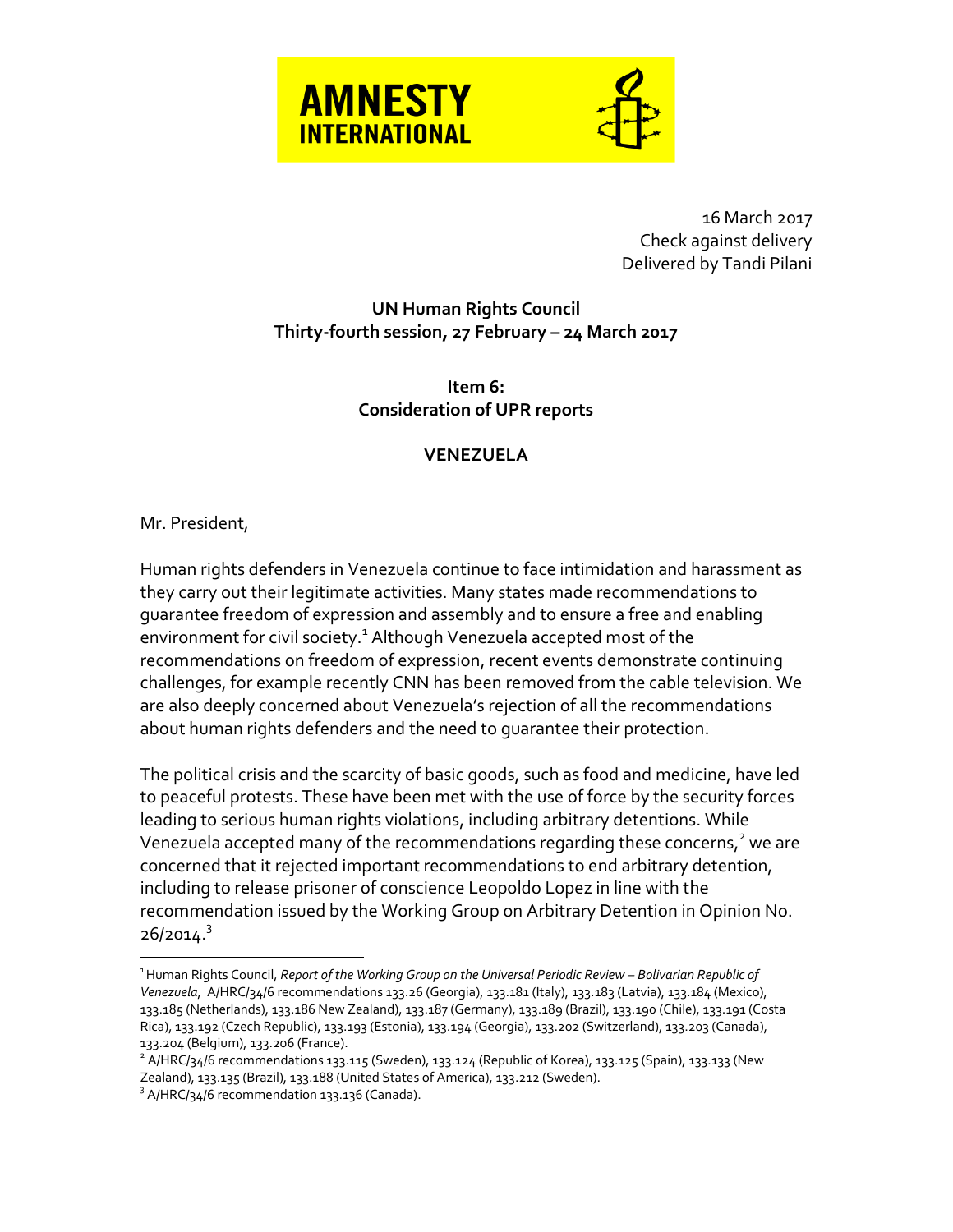



16 March 2017 Check against delivery Delivered by Tandi Pilani

## **UN Human Rights Council Thirty-fourth session, 27 February – 24 March 2017**

**Item 6: Consideration of UPR reports**

## **VENEZUELA**

## Mr. President,

 $\overline{a}$ 

Human rights defenders in Venezuela continue to face intimidation and harassment as they carry out their legitimate activities. Many states made recommendations to guarantee freedom of expression and assembly and to ensure a free and enabling environment for civil society.<sup>1</sup> Although Venezuela accepted most of the recommendations on freedom of expression, recent events demonstrate continuing challenges, for example recently CNN has been removed from the cable television. We are also deeply concerned about Venezuela's rejection of all the recommendations about human rights defenders and the need to guarantee their protection.

The political crisis and the scarcity of basic goods, such as food and medicine, have led to peaceful protests. These have been met with the use of force by the security forces leading to serious human rights violations, including arbitrary detentions. While Venezuela accepted many of the recommendations regarding these concerns, $^{\text{2}}$  we are concerned that it rejected important recommendations to end arbitrary detention, including to release prisoner of conscience Leopoldo Lopez in line with the recommendation issued by the Working Group on Arbitrary Detention in Opinion No. 26/2014.<sup>3</sup>

 $^{\text{1}}$ Human Rights Council, *Report of the Working Group on the Universal Periodic Review – Bolivarian Republic of Venezuela*, A/HRC/34/6 recommendations 133.26 (Georgia), 133.181 (Italy), 133.183 (Latvia), 133.184 (Mexico), 133.185 (Netherlands), 133.186 New Zealand), 133.187 (Germany), 133.189 (Brazil), 133.190 (Chile), 133.191 (Costa Rica), 133.192 (Czech Republic), 133.193 (Estonia), 133.194 (Georgia), 133.202 (Switzerland), 133.203 (Canada), 133.204 (Belgium), 133.206 (France).

 $^2$  A/HRC/34/6 recommendations 133.115 (Sweden), 133.124 (Republic of Korea), 133.125 (Spain), 133.133 (New Zealand), 133.135 (Brazil), 133.188 (United States of America), 133.212 (Sweden).

<sup>&</sup>lt;sup>3</sup> A/HRC/34/6 recommendation 133.136 (Canada).